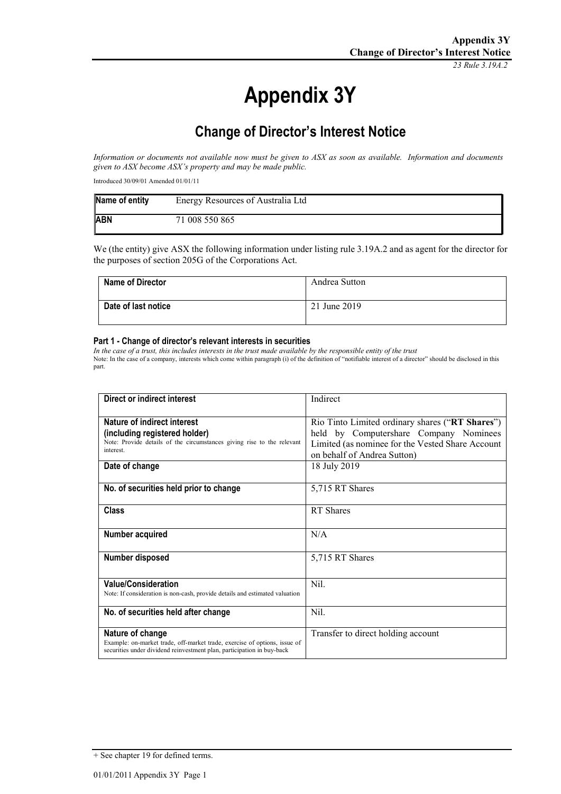*23 Rule 3.19A.2*

# **Appendix 3Y**

## **Change of Director's Interest Notice**

*Information or documents not available now must be given to ASX as soon as available. Information and documents given to ASX become ASX's property and may be made public.*

Introduced 30/09/01 Amended 01/01/11

| Name of entity | Energy Resources of Australia Ltd |
|----------------|-----------------------------------|
| <b>ABN</b>     | 71 008 550 865                    |

We (the entity) give ASX the following information under listing rule 3.19A.2 and as agent for the director for the purposes of section 205G of the Corporations Act.

| <b>Name of Director</b> | Andrea Sutton |
|-------------------------|---------------|
| Date of last notice     | 21 June 2019  |

#### **Part 1 - Change of director's relevant interests in securities**

*In the case of a trust, this includes interests in the trust made available by the responsible entity of the trust* Note: In the case of a company, interests which come within paragraph (i) of the definition of "notifiable interest of a director" should be disclosed in this part.

| Direct or indirect interest                                                                                                                                             | Indirect                                                                                                                                                                     |
|-------------------------------------------------------------------------------------------------------------------------------------------------------------------------|------------------------------------------------------------------------------------------------------------------------------------------------------------------------------|
| Nature of indirect interest<br>(including registered holder)<br>Note: Provide details of the circumstances giving rise to the relevant<br>interest.                     | Rio Tinto Limited ordinary shares ("RT Shares")<br>held by Computershare Company Nominees<br>Limited (as nominee for the Vested Share Account<br>on behalf of Andrea Sutton) |
| Date of change                                                                                                                                                          | 18 July 2019                                                                                                                                                                 |
| No. of securities held prior to change                                                                                                                                  | 5,715 RT Shares                                                                                                                                                              |
| <b>Class</b>                                                                                                                                                            | RT Shares                                                                                                                                                                    |
| Number acquired                                                                                                                                                         | N/A                                                                                                                                                                          |
| Number disposed                                                                                                                                                         | 5,715 RT Shares                                                                                                                                                              |
| <b>Value/Consideration</b><br>Note: If consideration is non-cash, provide details and estimated valuation                                                               | Nil.                                                                                                                                                                         |
| No. of securities held after change                                                                                                                                     | Nil.                                                                                                                                                                         |
| Nature of change<br>Example: on-market trade, off-market trade, exercise of options, issue of<br>securities under dividend reinvestment plan, participation in buy-back | Transfer to direct holding account                                                                                                                                           |

<sup>+</sup> See chapter 19 for defined terms.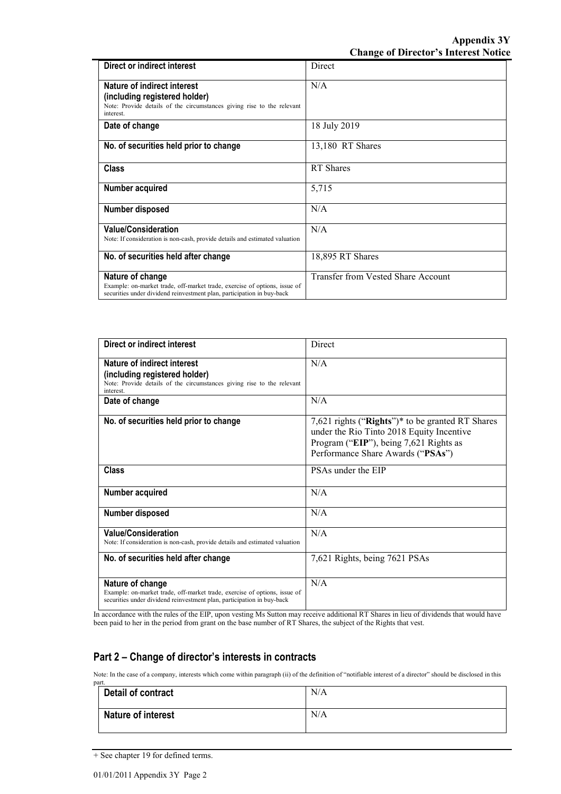| Direct or indirect interest                                                                                                                                             | <b>Direct</b>                      |
|-------------------------------------------------------------------------------------------------------------------------------------------------------------------------|------------------------------------|
| Nature of indirect interest<br>(including registered holder)<br>Note: Provide details of the circumstances giving rise to the relevant<br>interest.                     | N/A                                |
| Date of change                                                                                                                                                          | 18 July 2019                       |
| No. of securities held prior to change                                                                                                                                  | 13,180 RT Shares                   |
| <b>Class</b>                                                                                                                                                            | <b>RT</b> Shares                   |
| Number acquired                                                                                                                                                         | 5,715                              |
| Number disposed                                                                                                                                                         | N/A                                |
| <b>Value/Consideration</b><br>Note: If consideration is non-cash, provide details and estimated valuation                                                               | N/A                                |
| No. of securities held after change                                                                                                                                     | 18,895 RT Shares                   |
| Nature of change<br>Example: on-market trade, off-market trade, exercise of options, issue of<br>securities under dividend reinvestment plan, participation in buy-back | Transfer from Vested Share Account |

| Direct or indirect interest                                                                                                                                             | <b>Direct</b>                                                                                                                                                                |
|-------------------------------------------------------------------------------------------------------------------------------------------------------------------------|------------------------------------------------------------------------------------------------------------------------------------------------------------------------------|
| Nature of indirect interest<br>(including registered holder)<br>Note: Provide details of the circumstances giving rise to the relevant<br>interest.                     | N/A                                                                                                                                                                          |
| Date of change                                                                                                                                                          | N/A                                                                                                                                                                          |
| No. of securities held prior to change                                                                                                                                  | 7,621 rights ("Rights")* to be granted RT Shares<br>under the Rio Tinto 2018 Equity Incentive<br>Program ("EIP"), being 7,621 Rights as<br>Performance Share Awards ("PSAs") |
| <b>Class</b>                                                                                                                                                            | PSAs under the EIP                                                                                                                                                           |
| Number acquired                                                                                                                                                         | N/A                                                                                                                                                                          |
| Number disposed                                                                                                                                                         | N/A                                                                                                                                                                          |
| <b>Value/Consideration</b><br>Note: If consideration is non-cash, provide details and estimated valuation                                                               | N/A                                                                                                                                                                          |
| No. of securities held after change                                                                                                                                     | 7,621 Rights, being 7621 PSAs                                                                                                                                                |
| Nature of change<br>Example: on-market trade, off-market trade, exercise of options, issue of<br>securities under dividend reinvestment plan, participation in buy-back | N/A                                                                                                                                                                          |

In accordance with the rules of the EIP, upon vesting Ms Sutton may receive additional RT Shares in lieu of dividends that would have been paid to her in the period from grant on the base number of RT Shares, the subject of the Rights that vest.

### **Part 2 – Change of director's interests in contracts**

Note: In the case of a company, interests which come within paragraph (ii) of the definition of "notifiable interest of a director" should be disclosed in this

| part.                     |     |
|---------------------------|-----|
| Detail of contract        | N/A |
| <b>Nature of interest</b> | N/A |

<sup>+</sup> See chapter 19 for defined terms.